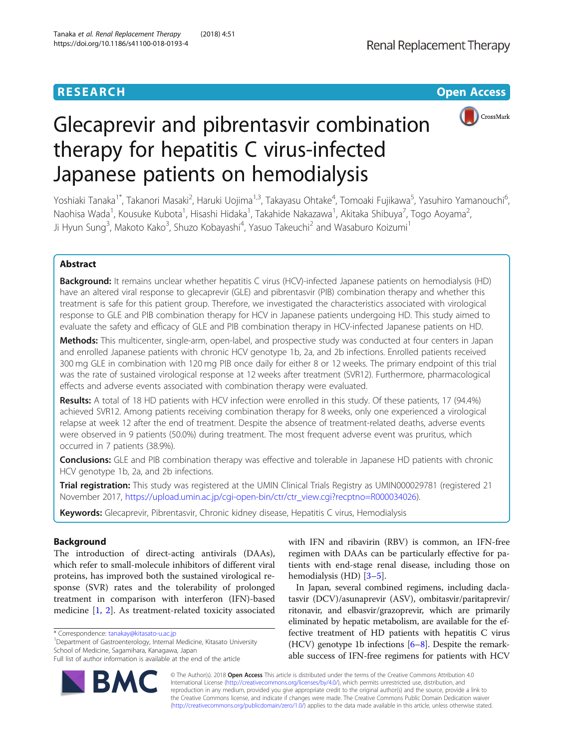## **RESEARCH CHEAR CHEAR CHEAR CHEAR CHEAR CHEAR CHEAR CHEAR CHEAR CHEAR CHEAR CHEAR CHEAR CHEAR CHEAR CHEAR CHEAR**



# Glecaprevir and pibrentasvir combination therapy for hepatitis C virus-infected Japanese patients on hemodialysis

Yoshiaki Tanaka<sup>1\*</sup>, Takanori Masaki<sup>2</sup>, Haruki Uojima<sup>1,3</sup>, Takayasu Ohtake<sup>4</sup>, Tomoaki Fujikawa<sup>5</sup>, Yasuhiro Yamanouchi<sup>6</sup> , Naohisa Wada<sup>1</sup>, Kousuke Kubota<sup>1</sup>, Hisashi Hidaka<sup>1</sup>, Takahide Nakazawa<sup>1</sup>, Akitaka Shibuya<sup>7</sup>, Togo Aoyama<sup>2</sup> , Ji Hyun Sung<sup>3</sup>, Makoto Kako<sup>3</sup>, Shuzo Kobayashi<sup>4</sup>, Yasuo Takeuchi<sup>2</sup> and Wasaburo Koizumi<sup>1</sup>

## Abstract

Background: It remains unclear whether hepatitis C virus (HCV)-infected Japanese patients on hemodialysis (HD) have an altered viral response to glecaprevir (GLE) and pibrentasvir (PIB) combination therapy and whether this treatment is safe for this patient group. Therefore, we investigated the characteristics associated with virological response to GLE and PIB combination therapy for HCV in Japanese patients undergoing HD. This study aimed to evaluate the safety and efficacy of GLE and PIB combination therapy in HCV-infected Japanese patients on HD.

Methods: This multicenter, single-arm, open-label, and prospective study was conducted at four centers in Japan and enrolled Japanese patients with chronic HCV genotype 1b, 2a, and 2b infections. Enrolled patients received 300 mg GLE in combination with 120 mg PIB once daily for either 8 or 12 weeks. The primary endpoint of this trial was the rate of sustained virological response at 12 weeks after treatment (SVR12). Furthermore, pharmacological effects and adverse events associated with combination therapy were evaluated.

Results: A total of 18 HD patients with HCV infection were enrolled in this study. Of these patients, 17 (94.4%) achieved SVR12. Among patients receiving combination therapy for 8 weeks, only one experienced a virological relapse at week 12 after the end of treatment. Despite the absence of treatment-related deaths, adverse events were observed in 9 patients (50.0%) during treatment. The most frequent adverse event was pruritus, which occurred in 7 patients (38.9%).

Conclusions: GLE and PIB combination therapy was effective and tolerable in Japanese HD patients with chronic HCV genotype 1b, 2a, and 2b infections.

Trial registration: This study was registered at the UMIN Clinical Trials Registry as UMIN000029781 (registered 21 November 2017, [https://upload.umin.ac.jp/cgi-open-bin/ctr/ctr\\_view.cgi?recptno=R000034026\)](https://upload.umin.ac.jp/cgi-open-bin/ctr/ctr_view.cgi?recptno=R000034026).

Keywords: Glecaprevir, Pibrentasvir, Chronic kidney disease, Hepatitis C virus, Hemodialysis

## Background

The introduction of direct-acting antivirals (DAAs), which refer to small-molecule inhibitors of different viral proteins, has improved both the sustained virological response (SVR) rates and the tolerability of prolonged treatment in comparison with interferon (IFN)-based medicine [[1,](#page-6-0) [2\]](#page-6-0). As treatment-related toxicity associated

\* Correspondence: [tanakay@kitasato-u.ac.jp](mailto:tanakay@kitasato-u.ac.jp) <sup>1</sup>

<sup>1</sup>Department of Gastroenterology, Internal Medicine, Kitasato University School of Medicine, Sagamihara, Kanagawa, Japan

Full list of author information is available at the end of the article



with IFN and ribavirin (RBV) is common, an IFN-free regimen with DAAs can be particularly effective for patients with end-stage renal disease, including those on hemodialysis (HD) [\[3](#page-6-0)–[5\]](#page-6-0).

In Japan, several combined regimens, including daclatasvir (DCV)/asunaprevir (ASV), ombitasvir/paritaprevir/ ritonavir, and elbasvir/grazoprevir, which are primarily eliminated by hepatic metabolism, are available for the effective treatment of HD patients with hepatitis C virus (HCV) genotype 1b infections [\[6](#page-6-0)–[8\]](#page-6-0). Despite the remarkable success of IFN-free regimens for patients with HCV

© The Author(s). 2018 Open Access This article is distributed under the terms of the Creative Commons Attribution 4.0 International License [\(http://creativecommons.org/licenses/by/4.0/](http://creativecommons.org/licenses/by/4.0/)), which permits unrestricted use, distribution, and reproduction in any medium, provided you give appropriate credit to the original author(s) and the source, provide a link to the Creative Commons license, and indicate if changes were made. The Creative Commons Public Domain Dedication waiver [\(http://creativecommons.org/publicdomain/zero/1.0/](http://creativecommons.org/publicdomain/zero/1.0/)) applies to the data made available in this article, unless otherwise stated.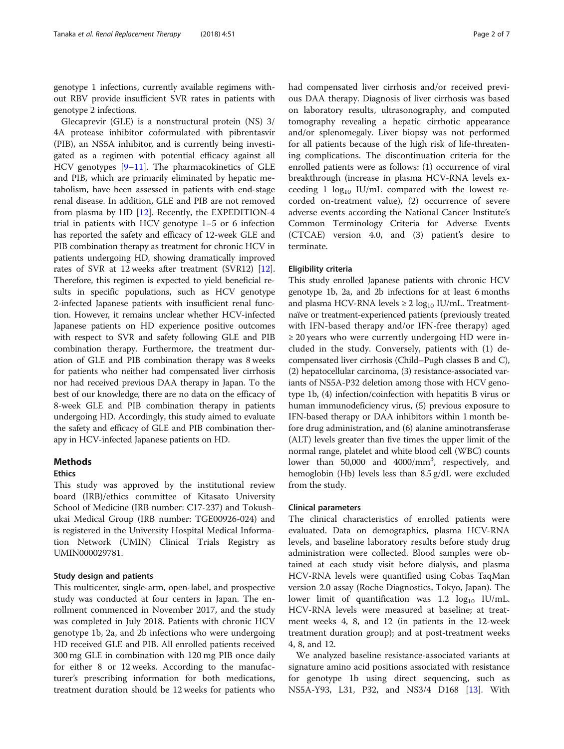genotype 1 infections, currently available regimens without RBV provide insufficient SVR rates in patients with genotype 2 infections.

Glecaprevir (GLE) is a nonstructural protein (NS) 3/ 4A protease inhibitor coformulated with pibrentasvir (PIB), an NS5A inhibitor, and is currently being investigated as a regimen with potential efficacy against all HCV genotypes [[9](#page-6-0)–[11](#page-6-0)]. The pharmacokinetics of GLE and PIB, which are primarily eliminated by hepatic metabolism, have been assessed in patients with end-stage renal disease. In addition, GLE and PIB are not removed from plasma by HD [\[12](#page-6-0)]. Recently, the EXPEDITION-4 trial in patients with HCV genotype 1–5 or 6 infection has reported the safety and efficacy of 12-week GLE and PIB combination therapy as treatment for chronic HCV in patients undergoing HD, showing dramatically improved rates of SVR at 12 weeks after treatment (SVR12) [[12](#page-6-0)]. Therefore, this regimen is expected to yield beneficial results in specific populations, such as HCV genotype 2-infected Japanese patients with insufficient renal function. However, it remains unclear whether HCV-infected Japanese patients on HD experience positive outcomes with respect to SVR and safety following GLE and PIB combination therapy. Furthermore, the treatment duration of GLE and PIB combination therapy was 8 weeks for patients who neither had compensated liver cirrhosis nor had received previous DAA therapy in Japan. To the best of our knowledge, there are no data on the efficacy of 8-week GLE and PIB combination therapy in patients undergoing HD. Accordingly, this study aimed to evaluate the safety and efficacy of GLE and PIB combination therapy in HCV-infected Japanese patients on HD.

#### **Methods**

#### Ethics

This study was approved by the institutional review board (IRB)/ethics committee of Kitasato University School of Medicine (IRB number: C17-237) and Tokushukai Medical Group (IRB number: TGE00926-024) and is registered in the University Hospital Medical Information Network (UMIN) Clinical Trials Registry as UMIN000029781.

#### Study design and patients

This multicenter, single-arm, open-label, and prospective study was conducted at four centers in Japan. The enrollment commenced in November 2017, and the study was completed in July 2018. Patients with chronic HCV genotype 1b, 2a, and 2b infections who were undergoing HD received GLE and PIB. All enrolled patients received 300 mg GLE in combination with 120 mg PIB once daily for either 8 or 12 weeks. According to the manufacturer's prescribing information for both medications, treatment duration should be 12 weeks for patients who had compensated liver cirrhosis and/or received previous DAA therapy. Diagnosis of liver cirrhosis was based on laboratory results, ultrasonography, and computed tomography revealing a hepatic cirrhotic appearance and/or splenomegaly. Liver biopsy was not performed for all patients because of the high risk of life-threatening complications. The discontinuation criteria for the enrolled patients were as follows: (1) occurrence of viral breakthrough (increase in plasma HCV-RNA levels exceeding 1  $log_{10}$  IU/mL compared with the lowest recorded on-treatment value), (2) occurrence of severe adverse events according the National Cancer Institute's Common Terminology Criteria for Adverse Events (CTCAE) version 4.0, and (3) patient's desire to terminate.

#### Eligibility criteria

This study enrolled Japanese patients with chronic HCV genotype 1b, 2a, and 2b infections for at least 6 months and plasma HCV-RNA levels  $\geq 2 \log_{10}$  IU/mL. Treatmentnaïve or treatment-experienced patients (previously treated with IFN-based therapy and/or IFN-free therapy) aged  $\geq$  20 years who were currently undergoing HD were included in the study. Conversely, patients with (1) decompensated liver cirrhosis (Child–Pugh classes B and C), (2) hepatocellular carcinoma, (3) resistance-associated variants of NS5A-P32 deletion among those with HCV genotype 1b, (4) infection/coinfection with hepatitis B virus or human immunodeficiency virus, (5) previous exposure to IFN-based therapy or DAA inhibitors within 1 month before drug administration, and (6) alanine aminotransferase (ALT) levels greater than five times the upper limit of the normal range, platelet and white blood cell (WBC) counts lower than 50,000 and 4000/mm<sup>3</sup>, respectively, and hemoglobin (Hb) levels less than 8.5 g/dL were excluded from the study.

#### Clinical parameters

The clinical characteristics of enrolled patients were evaluated. Data on demographics, plasma HCV-RNA levels, and baseline laboratory results before study drug administration were collected. Blood samples were obtained at each study visit before dialysis, and plasma HCV-RNA levels were quantified using Cobas TaqMan version 2.0 assay (Roche Diagnostics, Tokyo, Japan). The lower limit of quantification was 1.2  $log_{10}$  IU/mL. HCV-RNA levels were measured at baseline; at treatment weeks 4, 8, and 12 (in patients in the 12-week treatment duration group); and at post-treatment weeks 4, 8, and 12.

We analyzed baseline resistance-associated variants at signature amino acid positions associated with resistance for genotype 1b using direct sequencing, such as NS5A-Y93, L31, P32, and NS3/4 D168 [\[13\]](#page-6-0). With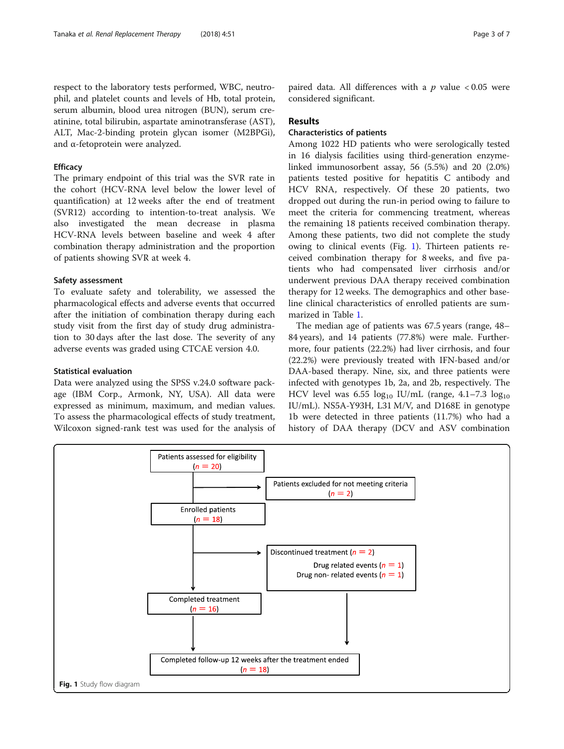respect to the laboratory tests performed, WBC, neutrophil, and platelet counts and levels of Hb, total protein, serum albumin, blood urea nitrogen (BUN), serum creatinine, total bilirubin, aspartate aminotransferase (AST), ALT, Mac-2-binding protein glycan isomer (M2BPGi), and α-fetoprotein were analyzed.

#### **Efficacy**

The primary endpoint of this trial was the SVR rate in the cohort (HCV-RNA level below the lower level of quantification) at 12 weeks after the end of treatment (SVR12) according to intention-to-treat analysis. We also investigated the mean decrease in plasma HCV-RNA levels between baseline and week 4 after combination therapy administration and the proportion of patients showing SVR at week 4.

#### Safety assessment

To evaluate safety and tolerability, we assessed the pharmacological effects and adverse events that occurred after the initiation of combination therapy during each study visit from the first day of study drug administration to 30 days after the last dose. The severity of any adverse events was graded using CTCAE version 4.0.

#### Statistical evaluation

Data were analyzed using the SPSS v.24.0 software package (IBM Corp., Armonk, NY, USA). All data were expressed as minimum, maximum, and median values. To assess the pharmacological effects of study treatment, Wilcoxon signed-rank test was used for the analysis of

paired data. All differences with a  $p$  value < 0.05 were considered significant.

#### Results

### Characteristics of patients

Among 1022 HD patients who were serologically tested in 16 dialysis facilities using third-generation enzymelinked immunosorbent assay, 56 (5.5%) and 20 (2.0%) patients tested positive for hepatitis C antibody and HCV RNA, respectively. Of these 20 patients, two dropped out during the run-in period owing to failure to meet the criteria for commencing treatment, whereas the remaining 18 patients received combination therapy. Among these patients, two did not complete the study owing to clinical events (Fig. 1). Thirteen patients received combination therapy for 8 weeks, and five patients who had compensated liver cirrhosis and/or underwent previous DAA therapy received combination therapy for 12 weeks. The demographics and other baseline clinical characteristics of enrolled patients are summarized in Table [1](#page-3-0).

The median age of patients was 67.5 years (range, 48– 84 years), and 14 patients (77.8%) were male. Furthermore, four patients (22.2%) had liver cirrhosis, and four (22.2%) were previously treated with IFN-based and/or DAA-based therapy. Nine, six, and three patients were infected with genotypes 1b, 2a, and 2b, respectively. The HCV level was  $6.55 \log_{10}$  IU/mL (range, 4.1–7.3  $\log_{10}$ IU/mL). NS5A-Y93H, L31 M/V, and D168E in genotype 1b were detected in three patients (11.7%) who had a history of DAA therapy (DCV and ASV combination

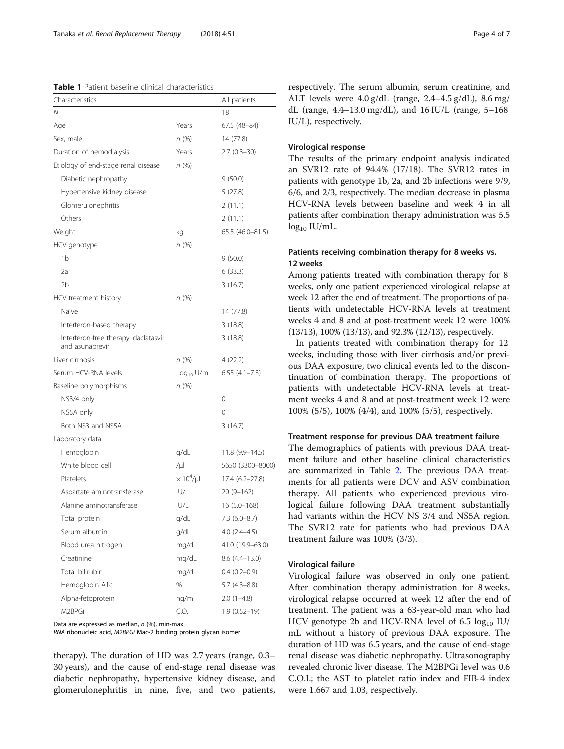<span id="page-3-0"></span>Table 1 Patient baseline clinical characteristics

| Characteristics                                         |                              | All patients     |
|---------------------------------------------------------|------------------------------|------------------|
| Ν                                                       |                              | 18               |
| Age                                                     | Years                        | 67.5 (48–84)     |
| Sex, male                                               | n (%)                        | 14 (77.8)        |
| Duration of hemodialysis                                | Years                        | $2.7(0.3-30)$    |
| Etiology of end-stage renal disease                     | n(%)                         |                  |
| Diabetic nephropathy                                    |                              | 9(50.0)          |
| Hypertensive kidney disease                             |                              | 5(27.8)          |
| Glomerulonephritis                                      |                              | 2(11.1)          |
| Others                                                  |                              | 2(11.1)          |
| Weight                                                  | kg                           | 65.5 (46.0-81.5) |
| HCV genotype                                            | n(%)                         |                  |
| 1 <sub>b</sub>                                          |                              | 9(50.0)          |
| 2a                                                      |                              | 6 (33.3)         |
| 2 <sub>b</sub>                                          |                              | 3(16.7)          |
| HCV treatment history                                   | n(%)                         |                  |
| Naïve                                                   |                              | 14 (77.8)        |
| Interferon-based therapy                                |                              | 3(18.8)          |
| Interferon-free therapy: daclatasvir<br>and asunaprevir |                              | 3(18.8)          |
| Liver cirrhosis                                         | n (%)                        | 4(22.2)          |
| Serum HCV-RNA levels                                    | $Log_{10}$ l $U/m$ l         | $6.55(4.1-7.3)$  |
| Baseline polymorphisms                                  | n (%)                        |                  |
| NS3/4 only                                              |                              | 0                |
| NS5A only                                               |                              | 0                |
| Both NS3 and NS5A                                       |                              | 3(16.7)          |
| Laboratory data                                         |                              |                  |
| Hemoglobin                                              | g/dL                         | $11.8(9.9-14.5)$ |
| White blood cell                                        | /µl                          | 5650 (3300-8000) |
| Platelets                                               | $\times$ 10 <sup>4</sup> /µl | 17.4 (6.2-27.8)  |
| Aspartate aminotransferase                              | IUI/L                        | $20(9 - 162)$    |
| Alanine aminotransferase                                | IUI/L                        | 16 (5.0-168)     |
| Total protein                                           | g/dL                         | $7.3(6.0-8.7)$   |
| Serum albumin                                           | g/dL                         | $4.0(2.4 - 4.5)$ |
| Blood urea nitrogen                                     | mg/dL                        | 41.0 (19.9-63.0) |
| Creatinine                                              | mg/dL                        | $8.6(4.4-13.0)$  |
| Total bilirubin                                         | mg/dL                        | $0.4(0.2-0.9)$   |
| Hemoglobin A1c                                          | %                            | $5.7$ (4.3-8.8)  |
| Alpha-fetoprotein                                       | ng/ml                        | $2.0(1-4.8)$     |
| M2BPGi                                                  | C.O.                         | $1.9(0.52 - 19)$ |

Data are expressed as median, n (%), min-max

RNA ribonucleic acid, M2BPGi Mac-2 binding protein glycan isomer

therapy). The duration of HD was 2.7 years (range, 0.3– 30 years), and the cause of end-stage renal disease was diabetic nephropathy, hypertensive kidney disease, and glomerulonephritis in nine, five, and two patients, respectively. The serum albumin, serum creatinine, and ALT levels were 4.0 g/dL (range, 2.4–4.5 g/dL), 8.6 mg/ dL (range,  $4.4-13.0 \text{ mg/dL}$ ), and  $16 \text{ IU/L}$  (range,  $5-168$ ) IU/L), respectively.

#### Virological response

The results of the primary endpoint analysis indicated an SVR12 rate of 94.4% (17/18). The SVR12 rates in patients with genotype 1b, 2a, and 2b infections were 9/9, 6/6, and 2/3, respectively. The median decrease in plasma HCV-RNA levels between baseline and week 4 in all patients after combination therapy administration was 5.5  $log_{10}$  IU/mL.

## Patients receiving combination therapy for 8 weeks vs. 12 weeks

Among patients treated with combination therapy for 8 weeks, only one patient experienced virological relapse at week 12 after the end of treatment. The proportions of patients with undetectable HCV-RNA levels at treatment weeks 4 and 8 and at post-treatment week 12 were 100% (13/13), 100% (13/13), and 92.3% (12/13), respectively.

In patients treated with combination therapy for 12 weeks, including those with liver cirrhosis and/or previous DAA exposure, two clinical events led to the discontinuation of combination therapy. The proportions of patients with undetectable HCV-RNA levels at treatment weeks 4 and 8 and at post-treatment week 12 were 100% (5/5), 100% (4/4), and 100% (5/5), respectively.

#### Treatment response for previous DAA treatment failure

The demographics of patients with previous DAA treatment failure and other baseline clinical characteristics are summarized in Table [2](#page-4-0). The previous DAA treatments for all patients were DCV and ASV combination therapy. All patients who experienced previous virological failure following DAA treatment substantially had variants within the HCV NS 3/4 and NS5A region. The SVR12 rate for patients who had previous DAA treatment failure was 100% (3/3).

#### Virological failure

Virological failure was observed in only one patient. After combination therapy administration for 8 weeks, virological relapse occurred at week 12 after the end of treatment. The patient was a 63-year-old man who had HCV genotype 2b and HCV-RNA level of 6.5  $log_{10}$  IU/ mL without a history of previous DAA exposure. The duration of HD was 6.5 years, and the cause of end-stage renal disease was diabetic nephropathy. Ultrasonography revealed chronic liver disease. The M2BPGi level was 0.6 C.O.I.; the AST to platelet ratio index and FIB-4 index were 1.667 and 1.03, respectively.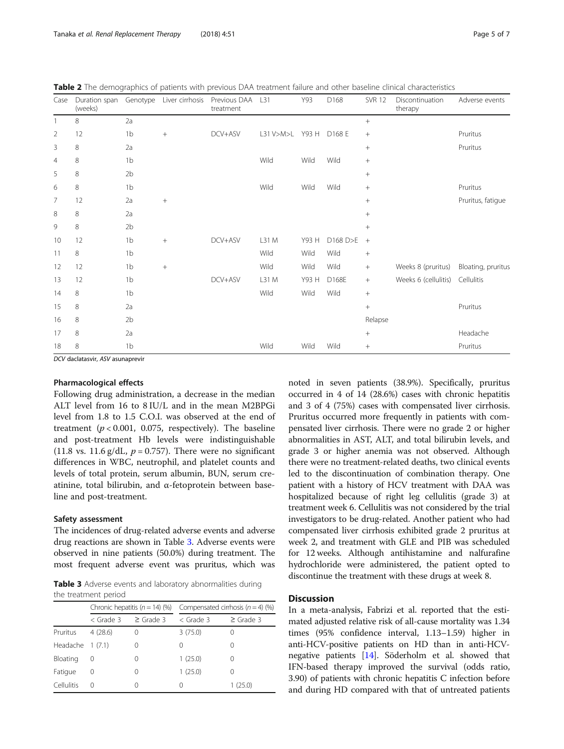<span id="page-4-0"></span>

| Case           | Duration span<br>(weeks) | Genotype       | Liver cirrhosis | Previous DAA<br>treatment | L31         | Y93   | D168         | <b>SVR 12</b>   | Discontinuation<br>therapy | Adverse events     |
|----------------|--------------------------|----------------|-----------------|---------------------------|-------------|-------|--------------|-----------------|----------------------------|--------------------|
|                | 8                        | 2a             |                 |                           |             |       |              | $^{+}$          |                            |                    |
| $\overline{2}$ | 12                       | 1 <sub>b</sub> | $+$             | DCV+ASV                   | $L31$ V>M>L |       | Y93 H D168 E | $^{+}$          |                            | Pruritus           |
| 3              | 8                        | 2a             |                 |                           |             |       |              | $\! + \!$       |                            | Pruritus           |
| $\overline{4}$ | 8                        | 1b             |                 |                           | Wild        | Wild  | Wild         | $^+$            |                            |                    |
| 5              | 8                        | 2 <sub>b</sub> |                 |                           |             |       |              | $^{+}$          |                            |                    |
| 6              | 8                        | 1b             |                 |                           | Wild        | Wild  | Wild         | $^{+}$          |                            | Pruritus           |
| $\overline{7}$ | 12                       | 2a             | $\! + \!\!\!\!$ |                           |             |       |              | $^{+}$          |                            | Pruritus, fatigue  |
| 8              | 8                        | 2a             |                 |                           |             |       |              | $^{+}$          |                            |                    |
| 9              | 8                        | 2 <sub>b</sub> |                 |                           |             |       |              | $^{+}$          |                            |                    |
| 10             | 12                       | 1 <sub>b</sub> | $+$             | DCV+ASV                   | L31 M       | Y93 H | D168 D>E     | $+$             |                            |                    |
| 11             | 8                        | 1b             |                 |                           | Wild        | Wild  | Wild         | $\! + \!$       |                            |                    |
| 12             | 12                       | 1 <sub>b</sub> | $+$             |                           | Wild        | Wild  | Wild         | $^{+}$          | Weeks 8 (pruritus)         | Bloating, pruritus |
| 13             | 12                       | 1 <sub>b</sub> |                 | DCV+ASV                   | L31 M       | Y93 H | D168E        | $^{+}$          | Weeks 6 (cellulitis)       | Cellulitis         |
| 14             | 8                        | 1 <sub>b</sub> |                 |                           | Wild        | Wild  | Wild         | $^+$            |                            |                    |
| 15             | 8                        | 2a             |                 |                           |             |       |              | $^{+}$          |                            | Pruritus           |
| 16             | 8                        | 2 <sub>b</sub> |                 |                           |             |       |              | Relapse         |                            |                    |
| 17             | 8                        | 2a             |                 |                           |             |       |              | $\! + \!\!\!\!$ |                            | Headache           |
| 18             | 8                        | 1 <sub>b</sub> |                 |                           | Wild        | Wild  | Wild         | $+$             |                            | Pruritus           |

DCV daclatasvir, ASV asunaprevir

#### Pharmacological effects

Following drug administration, a decrease in the median ALT level from 16 to 8 IU/L and in the mean M2BPGi level from 1.8 to 1.5 C.O.I. was observed at the end of treatment ( $p < 0.001$ , 0.075, respectively). The baseline and post-treatment Hb levels were indistinguishable (11.8 vs. 11.6 g/dL,  $p = 0.757$ ). There were no significant differences in WBC, neutrophil, and platelet counts and levels of total protein, serum albumin, BUN, serum creatinine, total bilirubin, and α-fetoprotein between baseline and post-treatment.

#### Safety assessment

The incidences of drug-related adverse events and adverse drug reactions are shown in Table 3. Adverse events were observed in nine patients (50.0%) during treatment. The most frequent adverse event was pruritus, which was

Table 3 Adverse events and laboratory abnormalities during the treatment period

|                  |                  | Chronic hepatitis $(n = 14)$ (%) | Compensated cirrhosis ( $n = 4$ ) (%) |                  |  |
|------------------|------------------|----------------------------------|---------------------------------------|------------------|--|
| $<$ Grade 3      |                  | $\geq$ Grade 3                   | $<$ Grade 3                           | $\geq$ Grade 3   |  |
| Pruritus         | 4(28.6)          | $\left( \right)$                 | 3(75.0)                               |                  |  |
| Headache 1 (7.1) |                  |                                  | $\left( \right)$                      | $^{()}$          |  |
| Bloating         | $\left($         | $\left( \right)$                 | 1(25.0)                               | $\left( \right)$ |  |
| Fatigue          | $\left( \right)$ | $\left( \right)$                 | 1(25.0)                               |                  |  |
| Cellulitis       |                  | $\left( \right)$                 | $\left( \right)$                      | 1(25.0)          |  |

noted in seven patients (38.9%). Specifically, pruritus occurred in 4 of 14 (28.6%) cases with chronic hepatitis and 3 of 4 (75%) cases with compensated liver cirrhosis. Pruritus occurred more frequently in patients with compensated liver cirrhosis. There were no grade 2 or higher abnormalities in AST, ALT, and total bilirubin levels, and grade 3 or higher anemia was not observed. Although there were no treatment-related deaths, two clinical events led to the discontinuation of combination therapy. One patient with a history of HCV treatment with DAA was hospitalized because of right leg cellulitis (grade 3) at treatment week 6. Cellulitis was not considered by the trial investigators to be drug-related. Another patient who had compensated liver cirrhosis exhibited grade 2 pruritus at week 2, and treatment with GLE and PIB was scheduled for 12 weeks. Although antihistamine and nalfurafine hydrochloride were administered, the patient opted to discontinue the treatment with these drugs at week 8.

#### **Discussion**

In a meta-analysis, Fabrizi et al. reported that the estimated adjusted relative risk of all-cause mortality was 1.34 times (95% confidence interval, 1.13–1.59) higher in anti-HCV-positive patients on HD than in anti-HCVnegative patients [\[14\]](#page-6-0). Söderholm et al. showed that IFN-based therapy improved the survival (odds ratio, 3.90) of patients with chronic hepatitis C infection before and during HD compared with that of untreated patients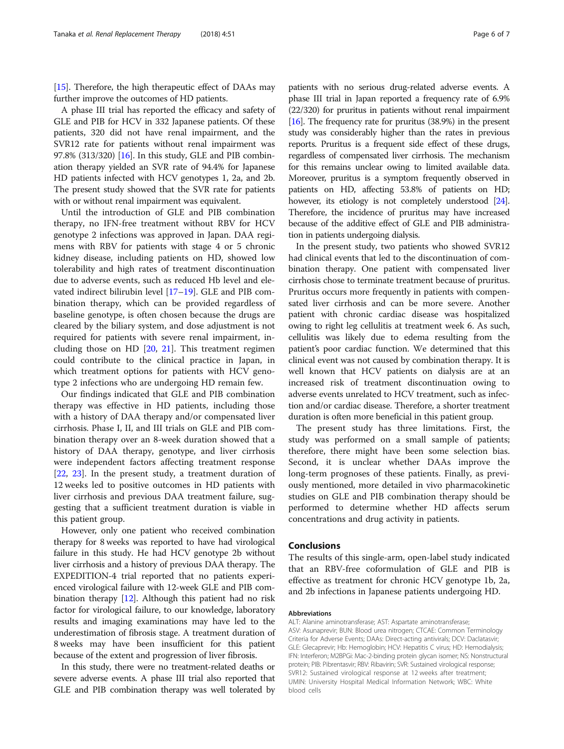[[15](#page-6-0)]. Therefore, the high therapeutic effect of DAAs may further improve the outcomes of HD patients.

A phase III trial has reported the efficacy and safety of GLE and PIB for HCV in 332 Japanese patients. Of these patients, 320 did not have renal impairment, and the SVR12 rate for patients without renal impairment was 97.8% (313/320) [[16](#page-6-0)]. In this study, GLE and PIB combination therapy yielded an SVR rate of 94.4% for Japanese HD patients infected with HCV genotypes 1, 2a, and 2b. The present study showed that the SVR rate for patients with or without renal impairment was equivalent.

Until the introduction of GLE and PIB combination therapy, no IFN-free treatment without RBV for HCV genotype 2 infections was approved in Japan. DAA regimens with RBV for patients with stage 4 or 5 chronic kidney disease, including patients on HD, showed low tolerability and high rates of treatment discontinuation due to adverse events, such as reduced Hb level and elevated indirect bilirubin level [\[17](#page-6-0)–[19\]](#page-6-0). GLE and PIB combination therapy, which can be provided regardless of baseline genotype, is often chosen because the drugs are cleared by the biliary system, and dose adjustment is not required for patients with severe renal impairment, including those on HD [[20](#page-6-0), [21\]](#page-6-0). This treatment regimen could contribute to the clinical practice in Japan, in which treatment options for patients with HCV genotype 2 infections who are undergoing HD remain few.

Our findings indicated that GLE and PIB combination therapy was effective in HD patients, including those with a history of DAA therapy and/or compensated liver cirrhosis. Phase I, II, and III trials on GLE and PIB combination therapy over an 8-week duration showed that a history of DAA therapy, genotype, and liver cirrhosis were independent factors affecting treatment response [[22,](#page-6-0) [23](#page-6-0)]. In the present study, a treatment duration of 12 weeks led to positive outcomes in HD patients with liver cirrhosis and previous DAA treatment failure, suggesting that a sufficient treatment duration is viable in this patient group.

However, only one patient who received combination therapy for 8 weeks was reported to have had virological failure in this study. He had HCV genotype 2b without liver cirrhosis and a history of previous DAA therapy. The EXPEDITION-4 trial reported that no patients experienced virological failure with 12-week GLE and PIB combination therapy [\[12\]](#page-6-0). Although this patient had no risk factor for virological failure, to our knowledge, laboratory results and imaging examinations may have led to the underestimation of fibrosis stage. A treatment duration of 8 weeks may have been insufficient for this patient because of the extent and progression of liver fibrosis.

In this study, there were no treatment-related deaths or severe adverse events. A phase III trial also reported that GLE and PIB combination therapy was well tolerated by

patients with no serious drug-related adverse events. A phase III trial in Japan reported a frequency rate of 6.9% (22/320) for pruritus in patients without renal impairment [[16](#page-6-0)]. The frequency rate for pruritus (38.9%) in the present study was considerably higher than the rates in previous reports. Pruritus is a frequent side effect of these drugs, regardless of compensated liver cirrhosis. The mechanism for this remains unclear owing to limited available data. Moreover, pruritus is a symptom frequently observed in patients on HD, affecting 53.8% of patients on HD; however, its etiology is not completely understood [\[24](#page-6-0)]. Therefore, the incidence of pruritus may have increased because of the additive effect of GLE and PIB administration in patients undergoing dialysis.

In the present study, two patients who showed SVR12 had clinical events that led to the discontinuation of combination therapy. One patient with compensated liver cirrhosis chose to terminate treatment because of pruritus. Pruritus occurs more frequently in patients with compensated liver cirrhosis and can be more severe. Another patient with chronic cardiac disease was hospitalized owing to right leg cellulitis at treatment week 6. As such, cellulitis was likely due to edema resulting from the patient's poor cardiac function. We determined that this clinical event was not caused by combination therapy. It is well known that HCV patients on dialysis are at an increased risk of treatment discontinuation owing to adverse events unrelated to HCV treatment, such as infection and/or cardiac disease. Therefore, a shorter treatment duration is often more beneficial in this patient group.

The present study has three limitations. First, the study was performed on a small sample of patients; therefore, there might have been some selection bias. Second, it is unclear whether DAAs improve the long-term prognoses of these patients. Finally, as previously mentioned, more detailed in vivo pharmacokinetic studies on GLE and PIB combination therapy should be performed to determine whether HD affects serum concentrations and drug activity in patients.

#### Conclusions

The results of this single-arm, open-label study indicated that an RBV-free coformulation of GLE and PIB is effective as treatment for chronic HCV genotype 1b, 2a, and 2b infections in Japanese patients undergoing HD.

#### Abbreviations

ALT: Alanine aminotransferase; AST: Aspartate aminotransferase; ASV: Asunaprevir; BUN: Blood urea nitrogen; CTCAE: Common Terminology Criteria for Adverse Events; DAAs: Direct-acting antivirals; DCV: Daclatasvir; GLE: Glecaprevir; Hb: Hemoglobin; HCV: Hepatitis C virus; HD: Hemodialysis; IFN: Interferon; M2BPGi: Mac-2-binding protein glycan isomer; NS: Nonstructural protein; PIB: Pibrentasvir; RBV: Ribavirin; SVR: Sustained virological response; SVR12: Sustained virological response at 12 weeks after treatment; UMIN: University Hospital Medical Information Network; WBC: White blood cells